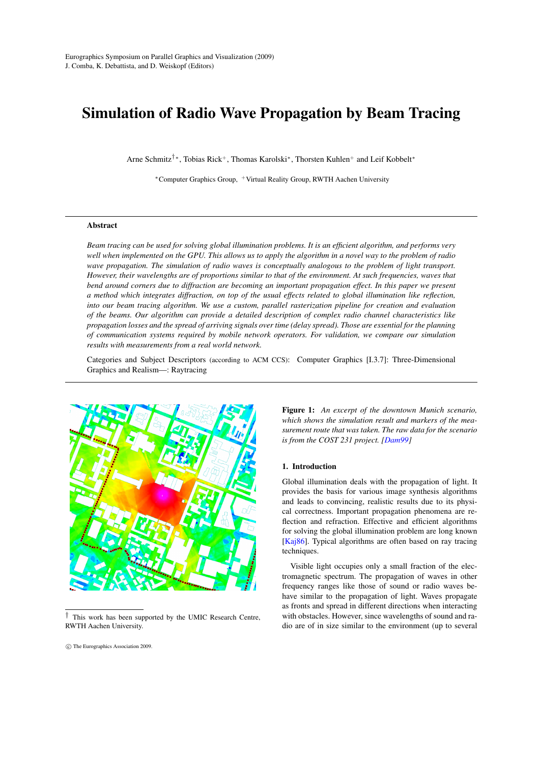# Simulation of Radio Wave Propagation by Beam Tracing

Arne Schmitz†<sup>∗</sup>, Tobias Rick<sup>+</sup>, Thomas Karolski<sup>∗</sup>, Thorsten Kuhlen<sup>+</sup> and Leif Kobbelt<sup>∗</sup>

<sup>∗</sup>Computer Graphics Group, <sup>+</sup>Virtual Reality Group, RWTH Aachen University

# Abstract

*Beam tracing can be used for solving global illumination problems. It is an efficient algorithm, and performs very well when implemented on the GPU. This allows us to apply the algorithm in a novel way to the problem of radio wave propagation. The simulation of radio waves is conceptually analogous to the problem of light transport. However, their wavelengths are of proportions similar to that of the environment. At such frequencies, waves that bend around corners due to diffraction are becoming an important propagation effect. In this paper we present a method which integrates diffraction, on top of the usual effects related to global illumination like reflection, into our beam tracing algorithm. We use a custom, parallel rasterization pipeline for creation and evaluation of the beams. Our algorithm can provide a detailed description of complex radio channel characteristics like propagation losses and the spread of arriving signals over time (delay spread). Those are essential for the planning of communication systems required by mobile network operators. For validation, we compare our simulation results with measurements from a real world network.*

Categories and Subject Descriptors (according to ACM CCS): Computer Graphics [I.3.7]: Three-Dimensional Graphics and Realism—: Raytracing



<sup>†</sup> This work has been supported by the UMIC Research Centre, RWTH Aachen University.

c The Eurographics Association 2009.

Figure 1: *An excerpt of the downtown Munich scenario, which shows the simulation result and markers of the measurement route that was taken. The raw data for the scenario is from the COST 231 project. [\[Dam99\]](#page-6-0)*

#### 1. Introduction

Global illumination deals with the propagation of light. It provides the basis for various image synthesis algorithms and leads to convincing, realistic results due to its physical correctness. Important propagation phenomena are reflection and refraction. Effective and efficient algorithms for solving the global illumination problem are long known [\[Kaj86\]](#page-7-0). Typical algorithms are often based on ray tracing techniques.

Visible light occupies only a small fraction of the electromagnetic spectrum. The propagation of waves in other frequency ranges like those of sound or radio waves behave similar to the propagation of light. Waves propagate as fronts and spread in different directions when interacting with obstacles. However, since wavelengths of sound and radio are of in size similar to the environment (up to several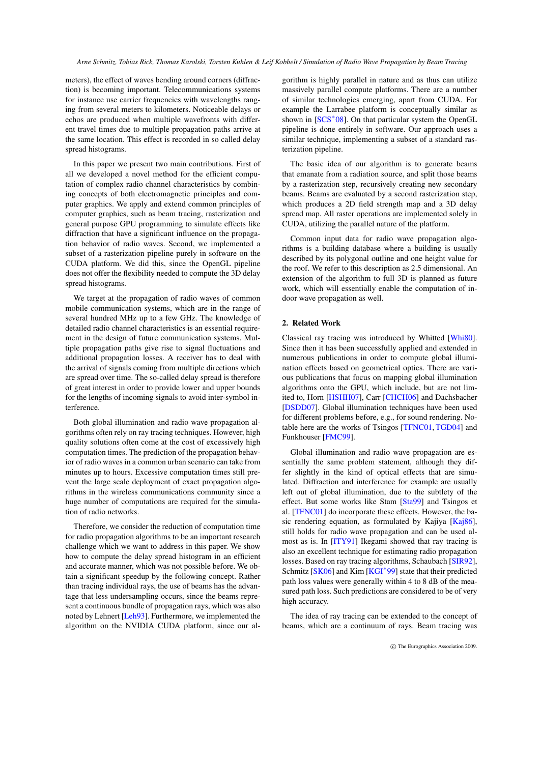meters), the effect of waves bending around corners (diffraction) is becoming important. Telecommunications systems for instance use carrier frequencies with wavelengths ranging from several meters to kilometers. Noticeable delays or echos are produced when multiple wavefronts with different travel times due to multiple propagation paths arrive at the same location. This effect is recorded in so called delay spread histograms.

In this paper we present two main contributions. First of all we developed a novel method for the efficient computation of complex radio channel characteristics by combining concepts of both electromagnetic principles and computer graphics. We apply and extend common principles of computer graphics, such as beam tracing, rasterization and general purpose GPU programming to simulate effects like diffraction that have a significant influence on the propagation behavior of radio waves. Second, we implemented a subset of a rasterization pipeline purely in software on the CUDA platform. We did this, since the OpenGL pipeline does not offer the flexibility needed to compute the 3D delay spread histograms.

We target at the propagation of radio waves of common mobile communication systems, which are in the range of several hundred MHz up to a few GHz. The knowledge of detailed radio channel characteristics is an essential requirement in the design of future communication systems. Multiple propagation paths give rise to signal fluctuations and additional propagation losses. A receiver has to deal with the arrival of signals coming from multiple directions which are spread over time. The so-called delay spread is therefore of great interest in order to provide lower and upper bounds for the lengths of incoming signals to avoid inter-symbol interference.

Both global illumination and radio wave propagation algorithms often rely on ray tracing techniques. However, high quality solutions often come at the cost of excessively high computation times. The prediction of the propagation behavior of radio waves in a common urban scenario can take from minutes up to hours. Excessive computation times still prevent the large scale deployment of exact propagation algorithms in the wireless communications community since a huge number of computations are required for the simulation of radio networks.

Therefore, we consider the reduction of computation time for radio propagation algorithms to be an important research challenge which we want to address in this paper. We show how to compute the delay spread histogram in an efficient and accurate manner, which was not possible before. We obtain a significant speedup by the following concept. Rather than tracing individual rays, the use of beams has the advantage that less undersampling occurs, since the beams represent a continuous bundle of propagation rays, which was also noted by Lehnert [\[Leh93\]](#page-7-1). Furthermore, we implemented the algorithm on the NVIDIA CUDA platform, since our al-

gorithm is highly parallel in nature and as thus can utilize massively parallel compute platforms. There are a number of similar technologies emerging, apart from CUDA. For example the Larrabee platform is conceptually similar as shown in [\[SCS](#page-7-2)<sup>\*</sup>08]. On that particular system the OpenGL pipeline is done entirely in software. Our approach uses a similar technique, implementing a subset of a standard rasterization pipeline.

The basic idea of our algorithm is to generate beams that emanate from a radiation source, and split those beams by a rasterization step, recursively creating new secondary beams. Beams are evaluated by a second rasterization step, which produces a 2D field strength map and a 3D delay spread map. All raster operations are implemented solely in CUDA, utilizing the parallel nature of the platform.

Common input data for radio wave propagation algorithms is a building database where a building is usually described by its polygonal outline and one height value for the roof. We refer to this description as 2.5 dimensional. An extension of the algorithm to full 3D is planned as future work, which will essentially enable the computation of indoor wave propagation as well.

# 2. Related Work

Classical ray tracing was introduced by Whitted [\[Whi80\]](#page-7-3). Since then it has been successfully applied and extended in numerous publications in order to compute global illumination effects based on geometrical optics. There are various publications that focus on mapping global illumination algorithms onto the GPU, which include, but are not limited to, Horn [\[HSHH07\]](#page-7-4), Carr [\[CHCH06\]](#page-6-1) and Dachsbacher [\[DSDD07\]](#page-6-2). Global illumination techniques have been used for different problems before, e.g., for sound rendering. Notable here are the works of Tsingos [\[TFNC01,](#page-7-5) [TGD04\]](#page-7-6) and Funkhouser [\[FMC99\]](#page-6-3).

Global illumination and radio wave propagation are essentially the same problem statement, although they differ slightly in the kind of optical effects that are simulated. Diffraction and interference for example are usually left out of global illumination, due to the subtlety of the effect. But some works like Stam [\[Sta99\]](#page-7-7) and Tsingos et al. [\[TFNC01\]](#page-7-5) do incorporate these effects. However, the ba-sic rendering equation, as formulated by Kajiya [\[Kaj86\]](#page-7-0), still holds for radio wave propagation and can be used almost as is. In [\[ITY91\]](#page-7-8) Ikegami showed that ray tracing is also an excellent technique for estimating radio propagation losses. Based on ray tracing algorithms, Schaubach [\[SIR92\]](#page-7-9), Schmitz [\[SK06\]](#page-7-10) and Kim [\[KGI](#page-7-11)<sup>\*99</sup>] state that their predicted path loss values were generally within 4 to 8 dB of the measured path loss. Such predictions are considered to be of very high accuracy.

The idea of ray tracing can be extended to the concept of beams, which are a continuum of rays. Beam tracing was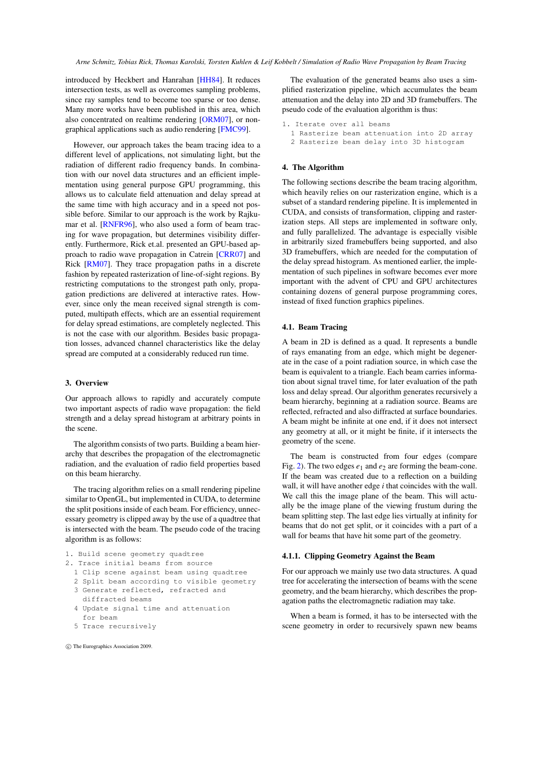introduced by Heckbert and Hanrahan [\[HH84\]](#page-6-4). It reduces intersection tests, as well as overcomes sampling problems, since ray samples tend to become too sparse or too dense. Many more works have been published in this area, which also concentrated on realtime rendering [\[ORM07\]](#page-7-12), or nongraphical applications such as audio rendering [\[FMC99\]](#page-6-3).

However, our approach takes the beam tracing idea to a different level of applications, not simulating light, but the radiation of different radio frequency bands. In combination with our novel data structures and an efficient implementation using general purpose GPU programming, this allows us to calculate field attenuation and delay spread at the same time with high accuracy and in a speed not possible before. Similar to our approach is the work by Rajkumar et al. [\[RNFR96\]](#page-7-13), who also used a form of beam tracing for wave propagation, but determines visibility differently. Furthermore, Rick et.al. presented an GPU-based approach to radio wave propagation in Catrein [\[CRR07\]](#page-6-5) and Rick [\[RM07\]](#page-7-14). They trace propagation paths in a discrete fashion by repeated rasterization of line-of-sight regions. By restricting computations to the strongest path only, propagation predictions are delivered at interactive rates. However, since only the mean received signal strength is computed, multipath effects, which are an essential requirement for delay spread estimations, are completely neglected. This is not the case with our algorithm. Besides basic propagation losses, advanced channel characteristics like the delay spread are computed at a considerably reduced run time.

# 3. Overview

Our approach allows to rapidly and accurately compute two important aspects of radio wave propagation: the field strength and a delay spread histogram at arbitrary points in the scene.

The algorithm consists of two parts. Building a beam hierarchy that describes the propagation of the electromagnetic radiation, and the evaluation of radio field properties based on this beam hierarchy.

The tracing algorithm relies on a small rendering pipeline similar to OpenGL, but implemented in CUDA, to determine the split positions inside of each beam. For efficiency, unnecessary geometry is clipped away by the use of a quadtree that is intersected with the beam. The pseudo code of the tracing algorithm is as follows:

```
1. Build scene geometry quadtree
2. Trace initial beams from source
```
- 1 Clip scene against beam using quadtree
- 
- 2 Split beam according to visible geometry 3 Generate reflected, refracted and
- diffracted beams
- 4 Update signal time and attenuation for beam
- 5 Trace recursively

c The Eurographics Association 2009.

The evaluation of the generated beams also uses a simplified rasterization pipeline, which accumulates the beam attenuation and the delay into 2D and 3D framebuffers. The pseudo code of the evaluation algorithm is thus:

```
1. Iterate over all beams
 1 Rasterize beam attenuation into 2D array
 2 Rasterize beam delay into 3D histogram
```
## 4. The Algorithm

The following sections describe the beam tracing algorithm, which heavily relies on our rasterization engine, which is a subset of a standard rendering pipeline. It is implemented in CUDA, and consists of transformation, clipping and rasterization steps. All steps are implemented in software only, and fully parallelized. The advantage is especially visible in arbitrarily sized framebuffers being supported, and also 3D framebuffers, which are needed for the computation of the delay spread histogram. As mentioned earlier, the implementation of such pipelines in software becomes ever more important with the advent of CPU and GPU architectures containing dozens of general purpose programming cores, instead of fixed function graphics pipelines.

## 4.1. Beam Tracing

A beam in 2D is defined as a quad. It represents a bundle of rays emanating from an edge, which might be degenerate in the case of a point radiation source, in which case the beam is equivalent to a triangle. Each beam carries information about signal travel time, for later evaluation of the path loss and delay spread. Our algorithm generates recursively a beam hierarchy, beginning at a radiation source. Beams are reflected, refracted and also diffracted at surface boundaries. A beam might be infinite at one end, if it does not intersect any geometry at all, or it might be finite, if it intersects the geometry of the scene.

The beam is constructed from four edges (compare Fig. [2\)](#page-3-0). The two edges  $e_1$  and  $e_2$  are forming the beam-cone. If the beam was created due to a reflection on a building wall, it will have another edge *i* that coincides with the wall. We call this the image plane of the beam. This will actually be the image plane of the viewing frustum during the beam splitting step. The last edge lies virtually at infinity for beams that do not get split, or it coincides with a part of a wall for beams that have hit some part of the geometry.

## 4.1.1. Clipping Geometry Against the Beam

For our approach we mainly use two data structures. A quad tree for accelerating the intersection of beams with the scene geometry, and the beam hierarchy, which describes the propagation paths the electromagnetic radiation may take.

When a beam is formed, it has to be intersected with the scene geometry in order to recursively spawn new beams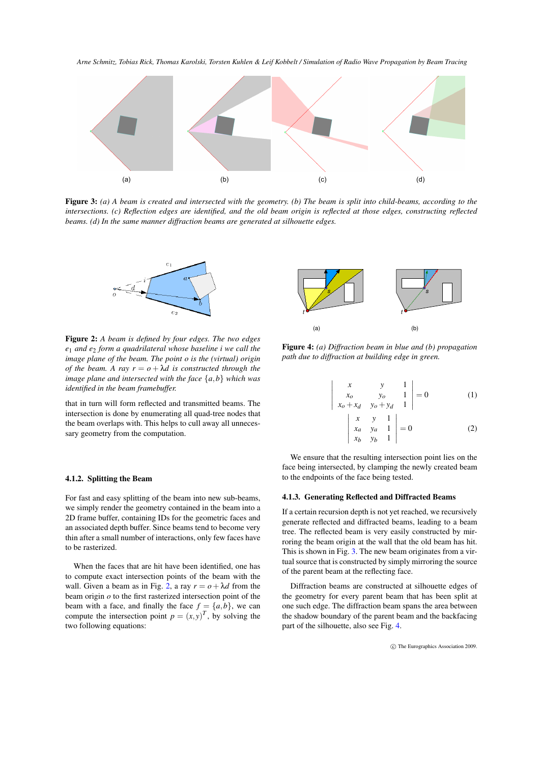*Arne Schmitz, Tobias Rick, Thomas Karolski, Torsten Kuhlen & Leif Kobbelt / Simulation of Radio Wave Propagation by Beam Tracing*



<span id="page-3-1"></span>Figure 3: *(a) A beam is created and intersected with the geometry. (b) The beam is split into child-beams, according to the intersections. (c) Reflection edges are identified, and the old beam origin is reflected at those edges, constructing reflected beams. (d) In the same manner diffraction beams are generated at silhouette edges.*



<span id="page-3-0"></span>Figure 2: *A beam is defined by four edges. The two edges e*<sup>1</sup> *and e*<sup>2</sup> *form a quadrilateral whose baseline i we call the image plane of the beam. The point o is the (virtual) origin of the beam.* A ray  $r = o + \lambda d$  is constructed through the *image plane and intersected with the face* {*a*,*b*} *which was identified in the beam framebuffer.*

that in turn will form reflected and transmitted beams. The intersection is done by enumerating all quad-tree nodes that the beam overlaps with. This helps to cull away all unnecessary geometry from the computation.

## 4.1.2. Splitting the Beam

For fast and easy splitting of the beam into new sub-beams, we simply render the geometry contained in the beam into a 2D frame buffer, containing IDs for the geometric faces and an associated depth buffer. Since beams tend to become very thin after a small number of interactions, only few faces have to be rasterized.

When the faces that are hit have been identified, one has to compute exact intersection points of the beam with the wall. Given a beam as in Fig. [2,](#page-3-0) a ray  $r = o + \lambda d$  from the beam origin *o* to the first rasterized intersection point of the beam with a face, and finally the face  $f = \{a,b\}$ , we can compute the intersection point  $p = (x, y)^T$ , by solving the two following equations:



<span id="page-3-2"></span>Figure 4: *(a) Diffraction beam in blue and (b) propagation path due to diffraction at building edge in green.*

 $\bigg\}$  $\overline{\phantom{a}}$  $\overline{\phantom{a}}$  $\overline{\phantom{a}}$  $\overline{\phantom{a}}$  $\overline{\phantom{a}}$ 

$$
\begin{vmatrix} x & y & 1 \ x_0 & y_0 & 1 \ x_0 + x_d & y_0 + y_d & 1 \ x & y & 1 \ x_d & y_d & 1 \ x_b & y_b & 1 \end{vmatrix} = 0
$$
 (1)  
(1)  
(2)

We ensure that the resulting intersection point lies on the face being intersected, by clamping the newly created beam to the endpoints of the face being tested.

# 4.1.3. Generating Reflected and Diffracted Beams

If a certain recursion depth is not yet reached, we recursively generate reflected and diffracted beams, leading to a beam tree. The reflected beam is very easily constructed by mirroring the beam origin at the wall that the old beam has hit. This is shown in Fig. [3.](#page-3-1) The new beam originates from a virtual source that is constructed by simply mirroring the source of the parent beam at the reflecting face.

Diffraction beams are constructed at silhouette edges of the geometry for every parent beam that has been split at one such edge. The diffraction beam spans the area between the shadow boundary of the parent beam and the backfacing part of the silhouette, also see Fig. [4.](#page-3-2)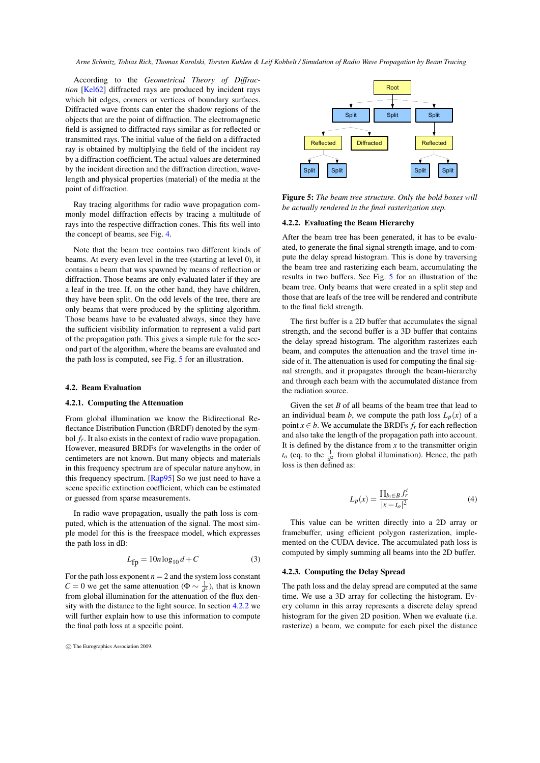*Arne Schmitz, Tobias Rick, Thomas Karolski, Torsten Kuhlen & Leif Kobbelt / Simulation of Radio Wave Propagation by Beam Tracing*

According to the *Geometrical Theory of Diffraction* [\[Kel62\]](#page-7-15) diffracted rays are produced by incident rays which hit edges, corners or vertices of boundary surfaces. Diffracted wave fronts can enter the shadow regions of the objects that are the point of diffraction. The electromagnetic field is assigned to diffracted rays similar as for reflected or transmitted rays. The initial value of the field on a diffracted ray is obtained by multiplying the field of the incident ray by a diffraction coefficient. The actual values are determined by the incident direction and the diffraction direction, wavelength and physical properties (material) of the media at the point of diffraction.

Ray tracing algorithms for radio wave propagation commonly model diffraction effects by tracing a multitude of rays into the respective diffraction cones. This fits well into the concept of beams, see Fig. [4.](#page-3-2)

Note that the beam tree contains two different kinds of beams. At every even level in the tree (starting at level 0), it contains a beam that was spawned by means of reflection or diffraction. Those beams are only evaluated later if they are a leaf in the tree. If, on the other hand, they have children, they have been split. On the odd levels of the tree, there are only beams that were produced by the splitting algorithm. Those beams have to be evaluated always, since they have the sufficient visibility information to represent a valid part of the propagation path. This gives a simple rule for the second part of the algorithm, where the beams are evaluated and the path loss is computed, see Fig. [5](#page-4-0) for an illustration.

#### 4.2. Beam Evaluation

#### 4.2.1. Computing the Attenuation

From global illumination we know the Bidirectional Reflectance Distribution Function (BRDF) denoted by the symbol *fr*. It also exists in the context of radio wave propagation. However, measured BRDFs for wavelengths in the order of centimeters are not known. But many objects and materials in this frequency spectrum are of specular nature anyhow, in this frequency spectrum. [\[Rap95\]](#page-7-16) So we just need to have a scene specific extinction coefficient, which can be estimated or guessed from sparse measurements.

In radio wave propagation, usually the path loss is computed, which is the attenuation of the signal. The most simple model for this is the freespace model, which expresses the path loss in dB:

$$
L_{\text{fp}} = 10n \log_{10} d + C \tag{3}
$$

For the path loss exponent  $n = 2$  and the system loss constant *C* = 0 we get the same attenuation ( $\Phi \sim \frac{1}{d^2}$ ), that is known from global illumination for the attenuation of the flux density with the distance to the light source. In section [4.2.2](#page-4-1) we will further explain how to use this information to compute the final path loss at a specific point.



<span id="page-4-0"></span>Figure 5: *The beam tree structure. Only the bold boxes will be actually rendered in the final rasterization step.*

#### <span id="page-4-1"></span>4.2.2. Evaluating the Beam Hierarchy

After the beam tree has been generated, it has to be evaluated, to generate the final signal strength image, and to compute the delay spread histogram. This is done by traversing the beam tree and rasterizing each beam, accumulating the results in two buffers. See Fig. [5](#page-4-0) for an illustration of the beam tree. Only beams that were created in a split step and those that are leafs of the tree will be rendered and contribute to the final field strength.

The first buffer is a 2D buffer that accumulates the signal strength, and the second buffer is a 3D buffer that contains the delay spread histogram. The algorithm rasterizes each beam, and computes the attenuation and the travel time inside of it. The attenuation is used for computing the final signal strength, and it propagates through the beam-hierarchy and through each beam with the accumulated distance from the radiation source.

Given the set *B* of all beams of the beam tree that lead to an individual beam *b*, we compute the path loss  $L_p(x)$  of a point  $x \in b$ . We accumulate the BRDFs  $f_r$  for each reflection and also take the length of the propagation path into account. It is defined by the distance from  $x$  to the transmitter origin  $t_o$  (eq. to the  $\frac{1}{d^2}$  from global illumination). Hence, the path loss is then defined as:

$$
L_p(x) = \frac{\prod_{b_i \in B} f_r^i}{|x - t_o|^2} \tag{4}
$$

This value can be written directly into a 2D array or framebuffer, using efficient polygon rasterization, implemented on the CUDA device. The accumulated path loss is computed by simply summing all beams into the 2D buffer.

## 4.2.3. Computing the Delay Spread

The path loss and the delay spread are computed at the same time. We use a 3D array for collecting the histogram. Every column in this array represents a discrete delay spread histogram for the given 2D position. When we evaluate (i.e. rasterize) a beam, we compute for each pixel the distance

c The Eurographics Association 2009.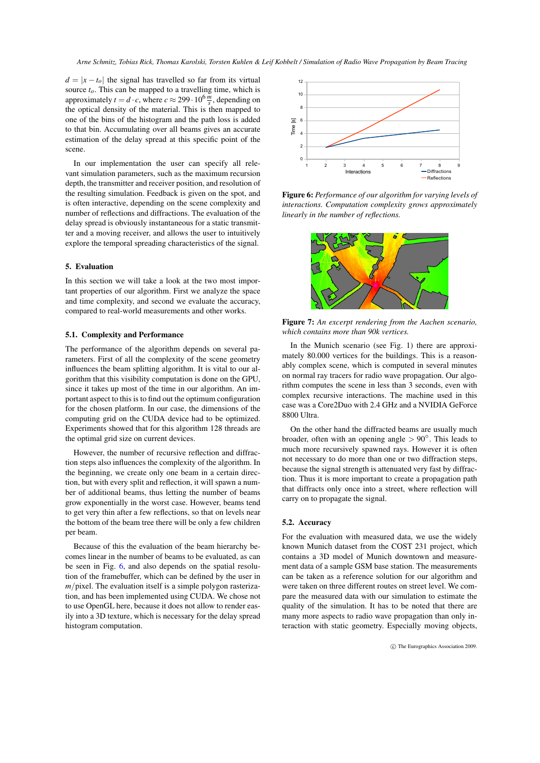*Arne Schmitz, Tobias Rick, Thomas Karolski, Torsten Kuhlen & Leif Kobbelt / Simulation of Radio Wave Propagation by Beam Tracing*

 $d = |x - t_o|$  the signal has travelled so far from its virtual source *to*. This can be mapped to a travelling time, which is approximately  $t = d \cdot c$ , where  $c \approx 299 \cdot 10^6 \frac{m}{s}$ , depending on the optical density of the material. This is then mapped to one of the bins of the histogram and the path loss is added to that bin. Accumulating over all beams gives an accurate estimation of the delay spread at this specific point of the scene.

In our implementation the user can specify all relevant simulation parameters, such as the maximum recursion depth, the transmitter and receiver position, and resolution of the resulting simulation. Feedback is given on the spot, and is often interactive, depending on the scene complexity and number of reflections and diffractions. The evaluation of the delay spread is obviously instantaneous for a static transmitter and a moving receiver, and allows the user to intuitively explore the temporal spreading characteristics of the signal.

# 5. Evaluation

In this section we will take a look at the two most important properties of our algorithm. First we analyze the space and time complexity, and second we evaluate the accuracy, compared to real-world measurements and other works.

## 5.1. Complexity and Performance

The performance of the algorithm depends on several parameters. First of all the complexity of the scene geometry influences the beam splitting algorithm. It is vital to our algorithm that this visibility computation is done on the GPU, since it takes up most of the time in our algorithm. An important aspect to this is to find out the optimum configuration for the chosen platform. In our case, the dimensions of the computing grid on the CUDA device had to be optimized. Experiments showed that for this algorithm 128 threads are the optimal grid size on current devices.

However, the number of recursive reflection and diffraction steps also influences the complexity of the algorithm. In the beginning, we create only one beam in a certain direction, but with every split and reflection, it will spawn a number of additional beams, thus letting the number of beams grow exponentially in the worst case. However, beams tend to get very thin after a few reflections, so that on levels near the bottom of the beam tree there will be only a few children per beam.

Because of this the evaluation of the beam hierarchy becomes linear in the number of beams to be evaluated, as can be seen in Fig. [6,](#page-5-0) and also depends on the spatial resolution of the framebuffer, which can be defined by the user in *m*/pixel. The evaluation itself is a simple polygon rasterization, and has been implemented using CUDA. We chose not to use OpenGL here, because it does not allow to render easily into a 3D texture, which is necessary for the delay spread histogram computation.



<span id="page-5-0"></span>Figure 6: *Performance of our algorithm for varying levels of interactions. Computation complexity grows approximately linearly in the number of reflections.*



<span id="page-5-1"></span>Figure 7: *An excerpt rendering from the Aachen scenario, which contains more than 90k vertices.*

In the Munich scenario (see Fig. 1) there are approximately 80.000 vertices for the buildings. This is a reasonably complex scene, which is computed in several minutes on normal ray tracers for radio wave propagation. Our algorithm computes the scene in less than 3 seconds, even with complex recursive interactions. The machine used in this case was a Core2Duo with 2.4 GHz and a NVIDIA GeForce 8800 Ultra.

On the other hand the diffracted beams are usually much broader, often with an opening angle  $> 90^\circ$ . This leads to much more recursively spawned rays. However it is often not necessary to do more than one or two diffraction steps, because the signal strength is attenuated very fast by diffraction. Thus it is more important to create a propagation path that diffracts only once into a street, where reflection will carry on to propagate the signal.

## 5.2. Accuracy

For the evaluation with measured data, we use the widely known Munich dataset from the COST 231 project, which contains a 3D model of Munich downtown and measurement data of a sample GSM base station. The measurements can be taken as a reference solution for our algorithm and were taken on three different routes on street level. We compare the measured data with our simulation to estimate the quality of the simulation. It has to be noted that there are many more aspects to radio wave propagation than only interaction with static geometry. Especially moving objects,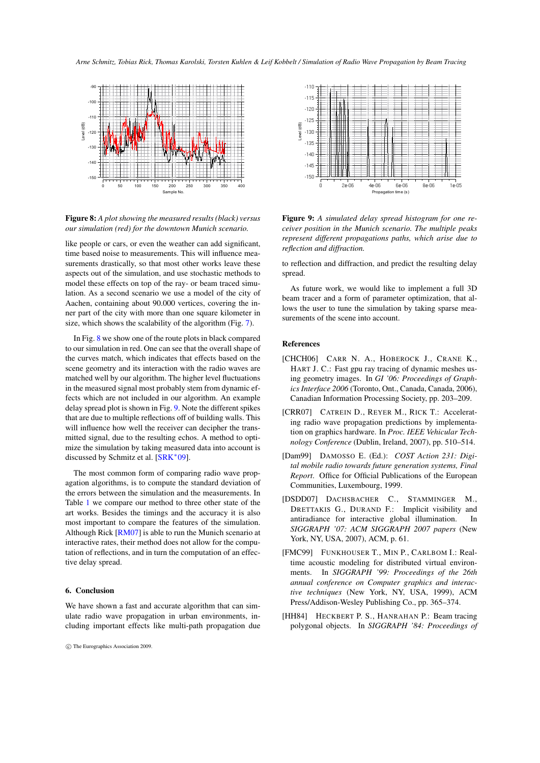*Arne Schmitz, Tobias Rick, Thomas Karolski, Torsten Kuhlen & Leif Kobbelt / Simulation of Radio Wave Propagation by Beam Tracing*



<span id="page-6-6"></span>Figure 8: *A plot showing the measured results (black) versus our simulation (red) for the downtown Munich scenario.*

like people or cars, or even the weather can add significant, time based noise to measurements. This will influence measurements drastically, so that most other works leave these aspects out of the simulation, and use stochastic methods to model these effects on top of the ray- or beam traced simulation. As a second scenario we use a model of the city of Aachen, containing about 90.000 vertices, covering the inner part of the city with more than one square kilometer in size, which shows the scalability of the algorithm (Fig. [7\)](#page-5-1).

In Fig. [8](#page-6-6) we show one of the route plots in black compared to our simulation in red. One can see that the overall shape of the curves match, which indicates that effects based on the scene geometry and its interaction with the radio waves are matched well by our algorithm. The higher level fluctuations in the measured signal most probably stem from dynamic effects which are not included in our algorithm. An example delay spread plot is shown in Fig. [9.](#page-6-7) Note the different spikes that are due to multiple reflections off of building walls. This will influence how well the receiver can decipher the transmitted signal, due to the resulting echos. A method to optimize the simulation by taking measured data into account is discussed by Schmitz et al. [\[SRK](#page-7-17)<sup>∗</sup> 09]. Figure 8.1 *plot showing the measured results (block)* versus  $\frac{8}{3}$ <br>
can also a new propagation in which *secured results (block)* versus Figure our simulation (red) for the downtown Munich scenario. ceriver like peop

The most common form of comparing radio wave propagation algorithms, is to compute the standard deviation of the errors between the simulation and the measurements. In Table [1](#page-7-18) we compare our method to three other state of the art works. Besides the timings and the accuracy it is also most important to compare the features of the simulation. Although Rick [\[RM07\]](#page-7-14) is able to run the Munich scenario at interactive rates, their method does not allow for the computation of reflections, and in turn the computation of an effective delay spread.

# 6. Conclusion

We have shown a fast and accurate algorithm that can simulate radio wave propagation in urban environments, in-



<span id="page-6-7"></span>Figure 9: *A simulated delay spread histogram for one receiver position in the Munich scenario. The multiple peaks represent different propagations paths, which arise due to reflection and diffraction.*

to reflection and diffraction, and predict the resulting delay spread.

As future work, we would like to implement a full 3D beam tracer and a form of parameter optimization, that allows the user to tune the simulation by taking sparse measurements of the scene into account.

# References

- <span id="page-6-1"></span>[CHCH06] CARR N. A., HOBEROCK J., CRANE K., HART J. C.: Fast gpu ray tracing of dynamic meshes using geometry images. In *GI '06: Proceedings of Graphics Interface 2006* (Toronto, Ont., Canada, Canada, 2006), Canadian Information Processing Society, pp. 203–209.
- <span id="page-6-5"></span>[CRR07] CATREIN D., REYER M., RICK T.: Accelerating radio wave propagation predictions by implementation on graphics hardware. In *Proc. IEEE Vehicular Technology Conference* (Dublin, Ireland, 2007), pp. 510–514.
- <span id="page-6-0"></span>[Dam99] DAMOSSO E. (Ed.): *COST Action 231: Digital mobile radio towards future generation systems, Final Report*. Office for Official Publications of the European Communities, Luxembourg, 1999.
- <span id="page-6-2"></span>[DSDD07] DACHSBACHER C., STAMMINGER M., DRETTAKIS G., DURAND F.: Implicit visibility and antiradiance for interactive global illumination. In *SIGGRAPH '07: ACM SIGGRAPH 2007 papers* (New York, NY, USA, 2007), ACM, p. 61.
- <span id="page-6-3"></span>[FMC99] FUNKHOUSER T., MIN P., CARLBOM I.: Realtime acoustic modeling for distributed virtual environments. In *SIGGRAPH '99: Proceedings of the 26th annual conference on Computer graphics and interactive techniques* (New York, NY, USA, 1999), ACM Press/Addison-Wesley Publishing Co., pp. 365–374.
- <span id="page-6-4"></span>[HH84] HECKBERT P. S., HANRAHAN P.: Beam tracing polygonal objects. In *SIGGRAPH '84: Proceedings of*

c The Eurographics Association 2009.